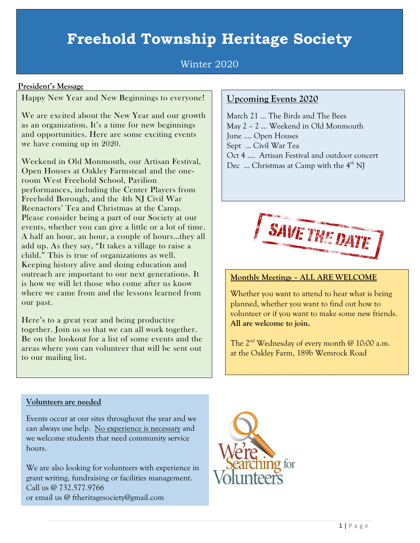# **Freehold Township Heritage Society**

# Winter 2020

## **President's Message**

Happy New Year and New Beginnings to everyone!

We are excited about the New Year and our growth as an organization. It's a time for new beginnings and opportunities. Here are some exciting events we have coming up in 2020.

Weekend in Old Monmouth, our Artisan Festival, Open Houses at Oakley Farmstead and the oneroom West Freehold School, Pavilion performances, including the Center Players from Freehold Borough, and the 4th NJ Civil War Reenactors' Tea and Christmas at the Camp. Please consider being a part of our Society at our events, whether you can give a little or a lot of time. A half an hour, an hour, a couple of hours…they all add up. As they say, "It takes a village to raise a child." This is true of organizations as well. Keeping history alive and doing education and outreach are important to our next generations. It is how we will let those who come after us know where we came from and the lessons learned from our past.

Here's to a great year and being productive together. Join us so that we can all work together. Be on the lookout for a list of some events and the areas where you can volunteer that will be sent out to our mailing list.

# **Upcoming Events 2020**

March 21 … The Birds and The Bees May 2 – 2 … Weekend in Old Monmouth June …. Open Houses Sept … Civil War Tea Oct 4 …. Artisan Festival and outdoor concert Dec  $\ldots$  Christmas at Camp with the  $4<sup>th</sup>$  NJ



## **Monthly Meetings – ALL ARE WELCOME**

Whether you want to attend to hear what is being planned, whether you want to find out how to volunteer or if you want to make some new friends. **All are welcome to join.**

The  $2<sup>nd</sup>$  Wednesday of every month @ 10:00 a.m. at the Oakley Farm, 189b Wemrock Road

#### **Volunteers are needed**

Events occur at our sites throughout the year and we can always use help. No experience is necessary and we welcome students that need community service hours.

We are also looking for volunteers with experience in grant writing, fundraising or facilities management. Call us @ 732.577.9766 or email us @ ftheritagesociety@gmail.com

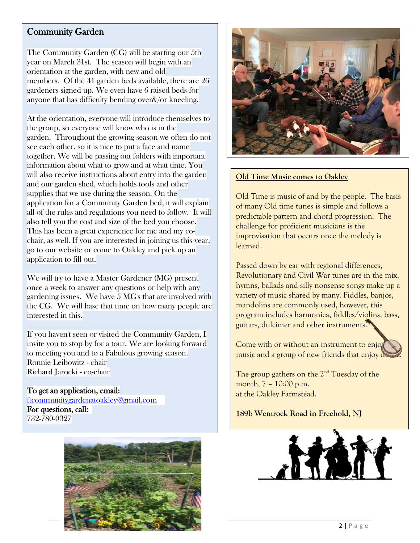# Community Garden

The Community Garden (CG) will be starting our 5th year on March 31st. The season will begin with an orientation at the garden, with new and old members. Of the 41 garden beds available, there are 26 gardeners signed up. We even have 6 raised beds for anyone that has difficulty bending over&/or kneeling.

At the orientation, everyone will introduce themselves to the group, so everyone will know who is in the garden. Throughout the growing season we often do not see each other, so it is nice to put a face and name together. We will be passing out folders with important information about what to grow and at what time. You will also receive instructions about entry into the garden and our garden shed, which holds tools and other supplies that we use during the season. On the application for a Community Garden bed, it will explain all of the rules and regulations you need to follow. It will also tell you the cost and size of the bed you choose. This has been a great experience for me and my cochair, as well. If you are interested in joining us this year, go to our website or come to Oakley and pick up an application to fill out.

We will try to have a Master Gardener (MG) present once a week to answer any questions or help with any gardening issues. We have 5 MG's that are involved with the CG. We will base that time on how many people are interested in this.

If you haven't seen or visited the Community Garden, I invite you to stop by for a tour. We are looking forward to meeting you and to a Fabulous growing season. Ronnie Leibowitz - chair Richard Jarocki - co-chair

To get an application, email: [ftcommunitygardenatoakley@gmail.com](mailto:ftcommunitygardenatoakley@gmail.com)  For questions, call: 732-780-0327





#### **Old Time Music comes to Oakley**

Old Time is music of and by the people. The basis of many Old time tunes is simple and follows a predictable pattern and chord progression. The challenge for proficient musicians is the improvisation that occurs once the melody is learned.

Passed down by ear with regional differences, Revolutionary and Civil War tunes are in the mix, hymns, ballads and silly nonsense songs make up a variety of music shared by many. Fiddles, banjos, mandolins are commonly used, however, this program includes harmonica, fiddles/violins, bass, guitars, dulcimer and other instruments.

Come with or without an instrument to enjoy music and a group of new friends that enjoy n

The group gathers on the 2<sup>nd</sup> Tuesday of the month, 7 – 10:00 p.m. at the Oakley Farmstead.

**189b Wemrock Road in Freehold, NJ**